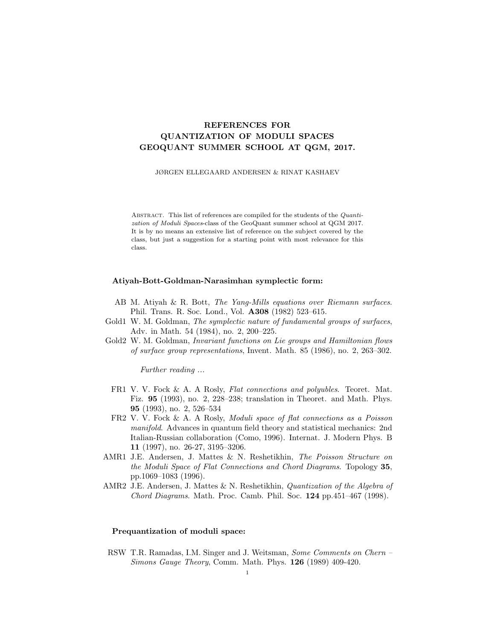# REFERENCES FOR QUANTIZATION OF MODULI SPACES GEOQUANT SUMMER SCHOOL AT QGM, 2017.

JØRGEN ELLEGAARD ANDERSEN & RINAT KASHAEV

ABSTRACT. This list of references are compiled for the students of the *Quanti*zation of Moduli Spaces-class of the GeoQuant summer school at QGM 2017. It is by no means an extensive list of reference on the subject covered by the class, but just a suggestion for a starting point with most relevance for this class.

# Atiyah-Bott-Goldman-Narasimhan symplectic form:

- AB M. Atiyah & R. Bott, The Yang-Mills equations over Riemann surfaces. Phil. Trans. R. Soc. Lond., Vol. A308 (1982) 523–615.
- Gold1 W. M. Goldman, The symplectic nature of fundamental groups of surfaces, Adv. in Math. 54 (1984), no. 2, 200–225.
- Gold2 W. M. Goldman, *Invariant functions on Lie groups and Hamiltonian flows* of surface group representations, Invent. Math. 85 (1986), no. 2, 263–302.

Further reading ...

- FR1 V. V. Fock & A. A Rosly, Flat connections and polyubles. Teoret. Mat. Fiz. 95 (1993), no. 2, 228–238; translation in Theoret. and Math. Phys. 95 (1993), no. 2, 526–534
- FR2 V. V. Fock & A. A Rosly, Moduli space of flat connections as a Poisson manifold. Advances in quantum field theory and statistical mechanics: 2nd Italian-Russian collaboration (Como, 1996). Internat. J. Modern Phys. B 11 (1997), no. 26-27, 3195–3206.
- AMR1 J.E. Andersen, J. Mattes & N. Reshetikhin, The Poisson Structure on the Moduli Space of Flat Connections and Chord Diagrams. Topology 35, pp.1069–1083 (1996).
- AMR2 J.E. Andersen, J. Mattes & N. Reshetikhin, Quantization of the Algebra of Chord Diagrams. Math. Proc. Camb. Phil. Soc. 124 pp.451–467 (1998).

#### Prequantization of moduli space:

RSW T.R. Ramadas, I.M. Singer and J. Weitsman, Some Comments on Chern – Simons Gauge Theory, Comm. Math. Phys. 126 (1989) 409-420.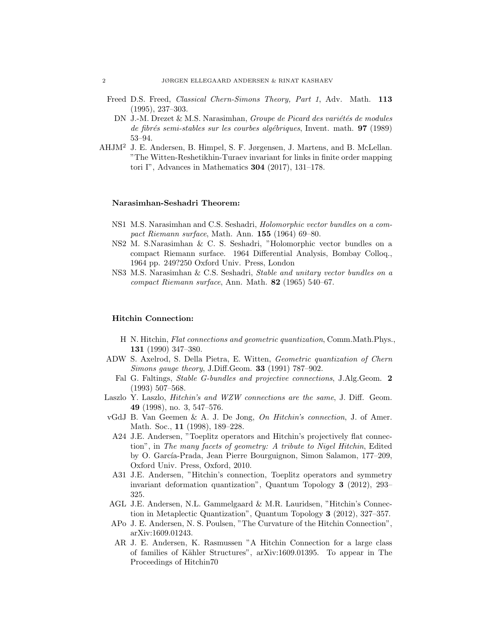- Freed D.S. Freed, Classical Chern-Simons Theory, Part 1, Adv. Math. 113 (1995), 237–303.
	- DN J.-M. Drezet & M.S. Narasimhan, Groupe de Picard des variétés de modules de fibrés semi-stables sur les courbes algébriques, Invent. math.  $97$  (1989) 53–94.
- AHJM<sup>2</sup> J. E. Andersen, B. Himpel, S. F. Jørgensen, J. Martens, and B. McLellan. "The Witten-Reshetikhin-Turaev invariant for links in finite order mapping tori I", Advances in Mathematics 304 (2017), 131–178.

#### Narasimhan-Seshadri Theorem:

- NS1 M.S. Narasimhan and C.S. Seshadri, Holomorphic vector bundles on a compact Riemann surface, Math. Ann. 155 (1964) 69–80.
- NS2 M. S.Narasimhan & C. S. Seshadri, "Holomorphic vector bundles on a compact Riemann surface. 1964 Differential Analysis, Bombay Colloq., 1964 pp. 249?250 Oxford Univ. Press, London
- NS3 M.S. Narasimhan & C.S. Seshadri, Stable and unitary vector bundles on a compact Riemann surface, Ann. Math. 82 (1965) 540–67.

## Hitchin Connection:

- H N. Hitchin, Flat connections and geometric quantization, Comm.Math.Phys., 131 (1990) 347–380.
- ADW S. Axelrod, S. Della Pietra, E. Witten, Geometric quantization of Chern Simons gauge theory, J.Diff.Geom. 33 (1991) 787–902.
	- Fal G. Faltings, *Stable G-bundles and projective connections*, J.Alg.Geom. 2 (1993) 507–568.
- Laszlo Y. Laszlo, *Hitchin's and WZW connections are the same*, J. Diff. Geom. 49 (1998), no. 3, 547–576.
- vGdJ B. Van Geemen  $\&$  A. J. De Jong, On Hitchin's connection, J. of Amer. Math. Soc., **11** (1998), 189–228.
	- A24 J.E. Andersen, "Toeplitz operators and Hitchin's projectively flat connection", in The many facets of geometry: A tribute to Nigel Hitchin, Edited by O. García-Prada, Jean Pierre Bourguignon, Simon Salamon, 177–209, Oxford Univ. Press, Oxford, 2010.
- A31 J.E. Andersen, "Hitchin's connection, Toeplitz operators and symmetry invariant deformation quantization", Quantum Topology 3 (2012), 293– 325.
- AGL J.E. Andersen, N.L. Gammelgaard & M.R. Lauridsen, "Hitchin's Connection in Metaplectic Quantization", Quantum Topology 3 (2012), 327–357.
- APo J. E. Andersen, N. S. Poulsen, "The Curvature of the Hitchin Connection", arXiv:1609.01243.
- AR J. E. Andersen, K. Rasmussen "A Hitchin Connection for a large class of families of K¨ahler Structures", arXiv:1609.01395. To appear in The Proceedings of Hitchin70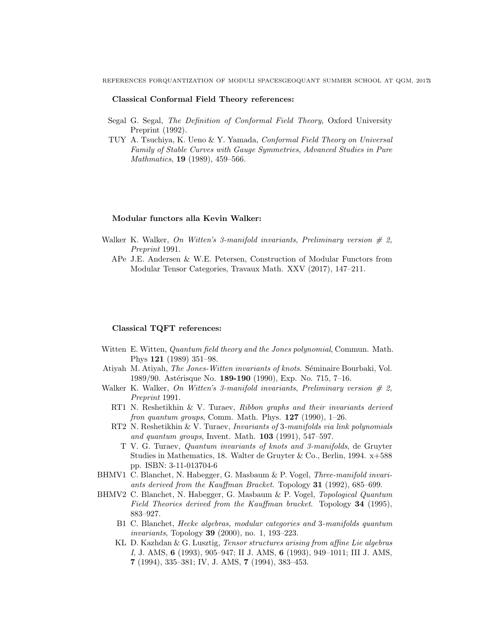REFERENCES FORQUANTIZATION OF MODULI SPACESGEOQUANT SUMMER SCHOOL AT QGM, 2017.3

#### Classical Conformal Field Theory references:

- Segal G. Segal, The Definition of Conformal Field Theory, Oxford University Preprint (1992).
- TUY A. Tsuchiya, K. Ueno & Y. Yamada, Conformal Field Theory on Universal Family of Stable Curves with Gauge Symmetries, Advanced Studies in Pure Mathmatics, **19** (1989), 459–566.

## Modular functors alla Kevin Walker:

- Walker K. Walker, On Witten's 3-manifold invariants, Preliminary version  $# 2$ , Preprint 1991.
	- APe J.E. Andersen & W.E. Petersen, Construction of Modular Functors from Modular Tensor Categories, Travaux Math. XXV (2017), 147–211.

## Classical TQFT references:

- Witten E. Witten, *Quantum field theory and the Jones polynomial*, Commun. Math. Phys 121 (1989) 351–98.
- Atiyah M. Atiyah, The Jones-Witten invariants of knots. Séminaire Bourbaki, Vol. 1989/90. Astérisque No. 189-190 (1990), Exp. No. 715, 7-16.
- Walker K. Walker, On Witten's 3-manifold invariants, Preliminary version  $\# 2$ , Preprint 1991.
	- RT1 N. Reshetikhin & V. Turaev, Ribbon graphs and their invariants derived fron quantum groups, Comm. Math. Phys.  $127$  (1990), 1–26.
	- RT2 N. Reshetikhin & V. Turaev, Invariants of 3-manifolds via link polynomials and quantum groups, Invent. Math. 103 (1991), 547–597.
		- T V. G. Turaev, Quantum invariants of knots and 3-manifolds, de Gruyter Studies in Mathematics, 18. Walter de Gruyter & Co., Berlin, 1994. x+588 pp. ISBN: 3-11-013704-6
- BHMV1 C. Blanchet, N. Habegger, G. Masbaum & P. Vogel, Three-manifold invariants derived from the Kauffman Bracket. Topology 31 (1992), 685–699.
- BHMV2 C. Blanchet, N. Habegger, G. Masbaum & P. Vogel, Topological Quantum Field Theories derived from the Kauffman bracket. Topology 34 (1995), 883–927.
	- B1 C. Blanchet, Hecke algebras, modular categories and 3-manifolds quantum invariants, Topology 39 (2000), no. 1, 193–223.
	- KL D. Kazhdan & G. Lusztig, Tensor structures arising from affine Lie algebras I, J. AMS, 6 (1993), 905–947; II J. AMS, 6 (1993), 949–1011; III J. AMS, 7 (1994), 335–381; IV, J. AMS, 7 (1994), 383–453.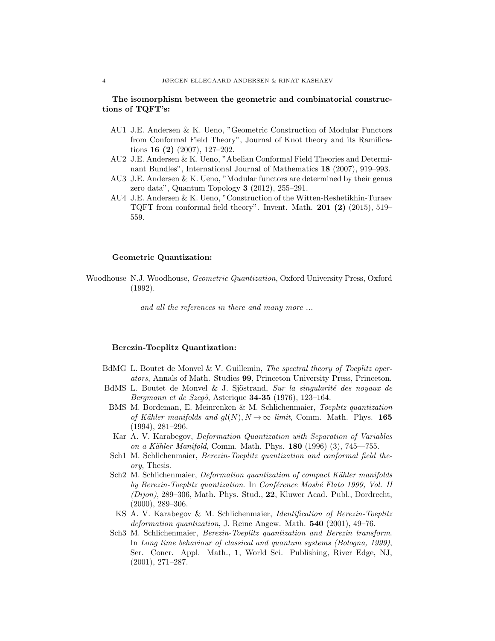## The isomorphism between the geometric and combinatorial constructions of TQFT's:

- AU1 J.E. Andersen & K. Ueno, "Geometric Construction of Modular Functors from Conformal Field Theory", Journal of Knot theory and its Ramifications 16 (2) (2007), 127–202.
- AU2 J.E. Andersen & K. Ueno, "Abelian Conformal Field Theories and Determinant Bundles", International Journal of Mathematics 18 (2007), 919–993.
- AU3 J.E. Andersen & K. Ueno, "Modular functors are determined by their genus zero data", Quantum Topology 3 (2012), 255–291.
- AU4 J.E. Andersen & K. Ueno, "Construction of the Witten-Reshetikhin-Turaev TQFT from conformal field theory". Invent. Math.  $201$  (2) (2015), 519– 559.

# Geometric Quantization:

Woodhouse N.J. Woodhouse, Geometric Quantization, Oxford University Press, Oxford (1992).

and all the references in there and many more ...

## Berezin-Toeplitz Quantization:

- BdMG L. Boutet de Monvel & V. Guillemin, The spectral theory of Toeplitz operators, Annals of Math. Studies 99, Princeton University Press, Princeton.
- BdMS L. Boutet de Monvel & J. Sjöstrand, Sur la singularité des noyaux de Bergmann et de Szegö, Asterique  $34-35$  (1976), 123-164.
- BMS M. Bordeman, E. Meinrenken & M. Schlichenmaier, Toeplitz quantization of Kähler manifolds and  $gl(N)$ ,  $N \rightarrow \infty$  limit, Comm. Math. Phys. 165 (1994), 281–296.
- Kar A. V. Karabegov, Deformation Quantization with Separation of Variables on a Kähler Manifold, Comm. Math. Phys.  $180$  (1996) (3), 745—755.
- Sch1 M. Schlichenmaier, Berezin-Toeplitz quantization and conformal field theory, Thesis.
- Sch2 M. Schlichenmaier, Deformation quantization of compact Kähler manifolds by Berezin-Toeplitz quantization. In Conférence Moshé Flato 1999, Vol. II (Dijon), 289–306, Math. Phys. Stud., 22, Kluwer Acad. Publ., Dordrecht, (2000), 289–306.
- KS A. V. Karabegov & M. Schlichenmaier, Identification of Berezin-Toeplitz deformation quantization, J. Reine Angew. Math. 540 (2001), 49–76.
- Sch3 M. Schlichenmaier, Berezin-Toeplitz quantization and Berezin transform. In Long time behaviour of classical and quantum systems (Bologna, 1999), Ser. Concr. Appl. Math., 1, World Sci. Publishing, River Edge, NJ, (2001), 271–287.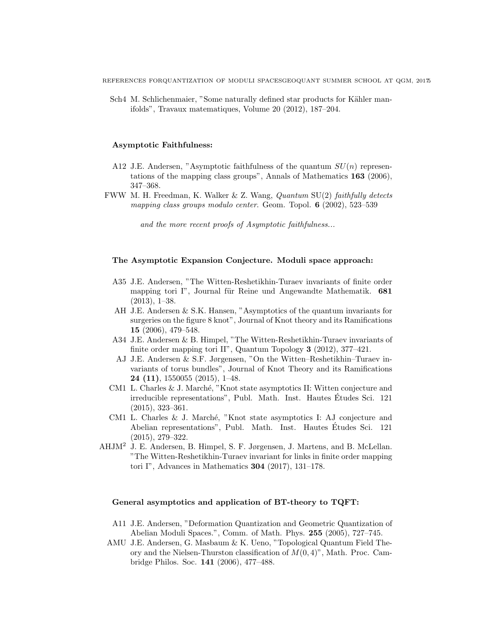Sch4 M. Schlichenmaier, "Some naturally defined star products for Kähler manifolds", Travaux matematiques, Volume 20 (2012), 187–204.

## Asymptotic Faithfulness:

- A12 J.E. Andersen, "Asymptotic faithfulness of the quantum  $SU(n)$  representations of the mapping class groups", Annals of Mathematics 163 (2006), 347–368.
- FWW M. H. Freedman, K. Walker & Z. Wang, Quantum SU(2) faithfully detects mapping class groups modulo center. Geom. Topol. 6 (2002), 523-539

and the more recent proofs of Asymptotic faithfulness...

## The Asymptotic Expansion Conjecture. Moduli space approach:

- A35 J.E. Andersen, "The Witten-Reshetikhin-Turaev invariants of finite order mapping tori I", Journal für Reine und Angewandte Mathematik. 681 (2013), 1–38.
- AH J.E. Andersen & S.K. Hansen, "Asymptotics of the quantum invariants for surgeries on the figure 8 knot", Journal of Knot theory and its Ramifications 15 (2006), 479–548.
- A34 J.E. Andersen & B. Himpel, "The Witten-Reshetikhin-Turaev invariants of finite order mapping tori II", Quantum Topology 3 (2012), 377–421.
- AJ J.E. Andersen & S.F. Jørgensen, "On the Witten–Reshetikhin–Turaev invariants of torus bundles", Journal of Knot Theory and its Ramifications 24 (11), 1550055 (2015), 1–48.
- CM1 L. Charles & J. March´e, "Knot state asymptotics II: Witten conjecture and irreducible representations", Publ. Math. Inst. Hautes Etudes Sci. 121 ´ (2015), 323–361.
- CM1 L. Charles & J. Marché, "Knot state asymptotics I: AJ conjecture and Abelian representations", Publ. Math. Inst. Hautes Études Sci. 121 (2015), 279–322.
- AHJM<sup>2</sup> J. E. Andersen, B. Himpel, S. F. Jørgensen, J. Martens, and B. McLellan. "The Witten-Reshetikhin-Turaev invariant for links in finite order mapping tori I", Advances in Mathematics 304 (2017), 131–178.

## General asymptotics and application of BT-theory to TQFT:

- A11 J.E. Andersen, "Deformation Quantization and Geometric Quantization of Abelian Moduli Spaces.", Comm. of Math. Phys. 255 (2005), 727–745.
- AMU J.E. Andersen, G. Masbaum & K. Ueno, "Topological Quantum Field Theory and the Nielsen-Thurston classification of  $M(0, 4)$ ", Math. Proc. Cambridge Philos. Soc. 141 (2006), 477–488.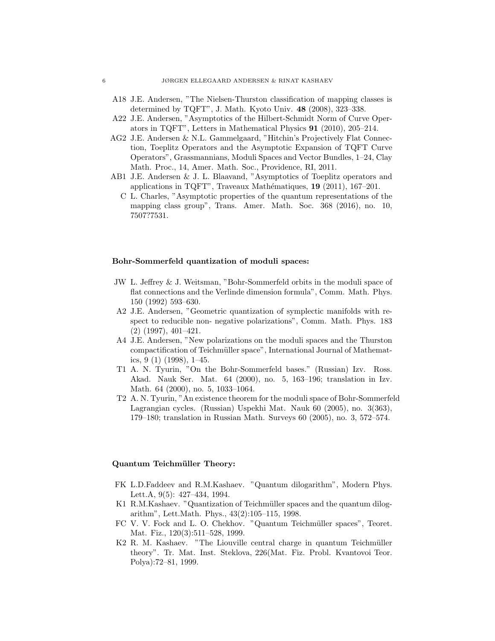- A18 J.E. Andersen, "The Nielsen-Thurston classification of mapping classes is determined by TQFT", J. Math. Kyoto Univ. 48 (2008), 323–338.
- A22 J.E. Andersen, "Asymptotics of the Hilbert-Schmidt Norm of Curve Operators in TQFT", Letters in Mathematical Physics 91 (2010), 205–214.
- AG2 J.E. Andersen & N.L. Gammelgaard, "Hitchin's Projectively Flat Connection, Toeplitz Operators and the Asymptotic Expansion of TQFT Curve Operators", Grassmannians, Moduli Spaces and Vector Bundles, 1–24, Clay Math. Proc., 14, Amer. Math. Soc., Providence, RI, 2011.
- AB1 J.E. Andersen & J. L. Blaavand, "Asymptotics of Toeplitz operators and applications in TQFT", Traveaux Mathématiques, 19 (2011), 167-201.
	- C L. Charles, "Asymptotic properties of the quantum representations of the mapping class group", Trans. Amer. Math. Soc. 368 (2016), no. 10, 7507?7531.

## Bohr-Sommerfeld quantization of moduli spaces:

- JW L. Jeffrey & J. Weitsman, "Bohr-Sommerfeld orbits in the moduli space of flat connections and the Verlinde dimension formula", Comm. Math. Phys. 150 (1992) 593–630.
- A2 J.E. Andersen, "Geometric quantization of symplectic manifolds with respect to reducible non- negative polarizations", Comm. Math. Phys. 183 (2) (1997), 401–421.
- A4 J.E. Andersen, "New polarizations on the moduli spaces and the Thurston compactification of Teichmüller space", International Journal of Mathematics, 9 (1) (1998), 1–45.
- T1 A. N. Tyurin, "On the Bohr-Sommerfeld bases." (Russian) Izv. Ross. Akad. Nauk Ser. Mat. 64 (2000), no. 5, 163–196; translation in Izv. Math. 64 (2000), no. 5, 1033–1064.
- T2 A. N. Tyurin, "An existence theorem for the moduli space of Bohr-Sommerfeld Lagrangian cycles. (Russian) Uspekhi Mat. Nauk 60 (2005), no. 3(363), 179–180; translation in Russian Math. Surveys 60 (2005), no. 3, 572–574.

# Quantum Teichmüller Theory:

- FK L.D.Faddeev and R.M.Kashaev. "Quantum dilogarithm", Modern Phys. Lett.A, 9(5): 427–434, 1994.
- K1 R.M.Kashaev. "Quantization of Teichmüller spaces and the quantum dilogarithm", Lett.Math. Phys., 43(2):105–115, 1998.
- FC V. V. Fock and L. O. Chekhov. "Quantum Teichmüller spaces", Teoret. Mat. Fiz., 120(3):511–528, 1999.
- K2 R. M. Kashaev. "The Liouville central charge in quantum Teichmüller theory". Tr. Mat. Inst. Steklova, 226(Mat. Fiz. Probl. Kvantovoi Teor. Polya):72–81, 1999.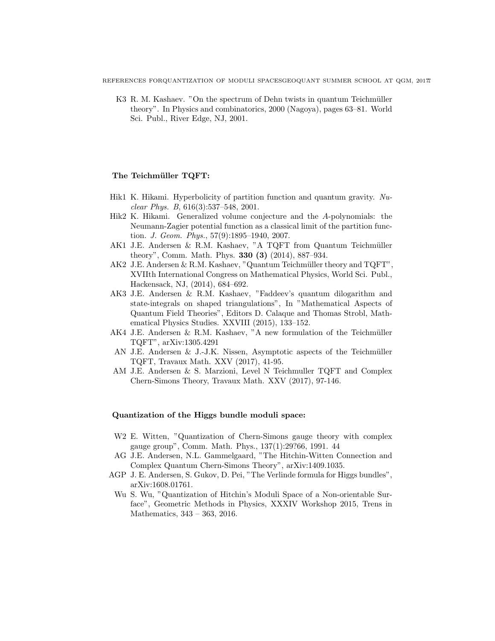REFERENCES FORQUANTIZATION OF MODULI SPACESGEOQUANT SUMMER SCHOOL AT QGM, 2017.

K3 R. M. Kashaev. "On the spectrum of Dehn twists in quantum Teichmüller theory". In Physics and combinatorics, 2000 (Nagoya), pages 63–81. World Sci. Publ., River Edge, NJ, 2001.

# The Teichmüller TQFT:

- Hik1 K. Hikami. Hyperbolicity of partition function and quantum gravity. Nuclear Phys. B, 616(3):537–548, 2001.
- Hik2 K. Hikami. Generalized volume conjecture and the A-polynomials: the Neumann-Zagier potential function as a classical limit of the partition function. J. Geom. Phys., 57(9):1895–1940, 2007.
- AK1 J.E. Andersen & R.M. Kashaev, "A TQFT from Quantum Teichmüller theory", Comm. Math. Phys. 330 (3) (2014), 887–934.
- AK2 J.E. Andersen & R.M. Kashaev, "Quantum Teichmüller theory and  $TQFT$ ", XVIIth International Congress on Mathematical Physics, World Sci. Publ., Hackensack, NJ, (2014), 684–692.
- AK3 J.E. Andersen & R.M. Kashaev, "Faddeev's quantum dilogarithm and state-integrals on shaped triangulations", In "Mathematical Aspects of Quantum Field Theories", Editors D. Calaque and Thomas Strobl, Mathematical Physics Studies. XXVIII (2015), 133–152.
- AK4 J.E. Andersen & R.M. Kashaev, "A new formulation of the Teichmüller TQFT", arXiv:1305.4291
- AN J.E. Andersen  $&$  J.-J.K. Nissen, Asymptotic aspects of the Teichmüller TQFT, Travaux Math. XXV (2017), 41-95.
- AM J.E. Andersen & S. Marzioni, Level N Teichmuller TQFT and Complex Chern-Simons Theory, Travaux Math. XXV (2017), 97-146.

# Quantization of the Higgs bundle moduli space:

- W2 E. Witten, "Quantization of Chern-Simons gauge theory with complex gauge group", Comm. Math. Phys., 137(1):29?66, 1991. 44
- AG J.E. Andersen, N.L. Gammelgaard, "The Hitchin-Witten Connection and Complex Quantum Chern-Simons Theory", arXiv:1409.1035.
- AGP J. E. Andersen, S. Gukov, D. Pei, "The Verlinde formula for Higgs bundles", arXiv:1608.01761.
- Wu S. Wu, "Quantization of Hitchin's Moduli Space of a Non-orientable Surface", Geometric Methods in Physics, XXXIV Workshop 2015, Trens in Mathematics, 343 – 363, 2016.